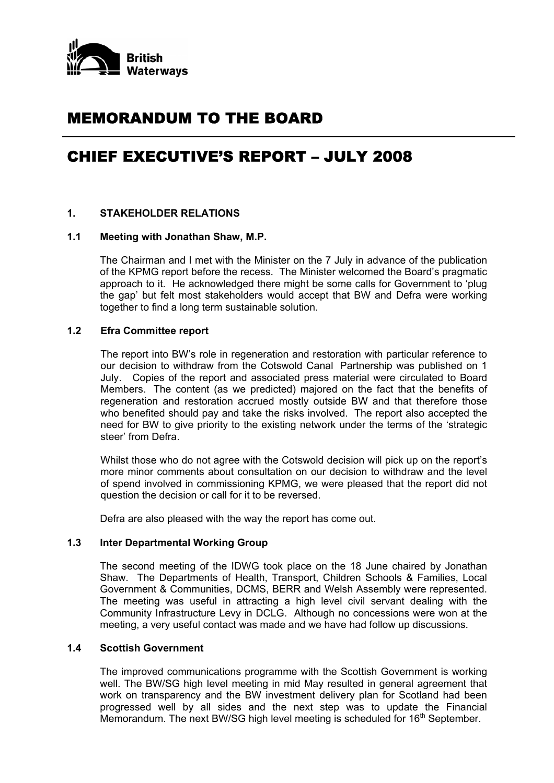

# MEMORANDUM TO THE BOARD

# CHIEF EXECUTIVE'S REPORT – JULY 2008

## **1. STAKEHOLDER RELATIONS**

#### **1.1 Meeting with Jonathan Shaw, M.P.**

 The Chairman and I met with the Minister on the 7 July in advance of the publication of the KPMG report before the recess. The Minister welcomed the Board's pragmatic approach to it. He acknowledged there might be some calls for Government to 'plug the gap' but felt most stakeholders would accept that BW and Defra were working together to find a long term sustainable solution.

## **1.2 Efra Committee report**

The report into BW's role in regeneration and restoration with particular reference to our decision to withdraw from the Cotswold Canal Partnership was published on 1 July. Copies of the report and associated press material were circulated to Board Members. The content (as we predicted) majored on the fact that the benefits of regeneration and restoration accrued mostly outside BW and that therefore those who benefited should pay and take the risks involved. The report also accepted the need for BW to give priority to the existing network under the terms of the 'strategic steer' from Defra.

Whilst those who do not agree with the Cotswold decision will pick up on the report's more minor comments about consultation on our decision to withdraw and the level of spend involved in commissioning KPMG, we were pleased that the report did not question the decision or call for it to be reversed.

Defra are also pleased with the way the report has come out.

#### **1.3 Inter Departmental Working Group**

 The second meeting of the IDWG took place on the 18 June chaired by Jonathan Shaw. The Departments of Health, Transport, Children Schools & Families, Local Government & Communities, DCMS, BERR and Welsh Assembly were represented. The meeting was useful in attracting a high level civil servant dealing with the Community Infrastructure Levy in DCLG. Although no concessions were won at the meeting, a very useful contact was made and we have had follow up discussions.

## **1.4 Scottish Government**

 The improved communications programme with the Scottish Government is working well. The BW/SG high level meeting in mid May resulted in general agreement that work on transparency and the BW investment delivery plan for Scotland had been progressed well by all sides and the next step was to update the Financial Memorandum. The next BW/SG high level meeting is scheduled for 16<sup>th</sup> September.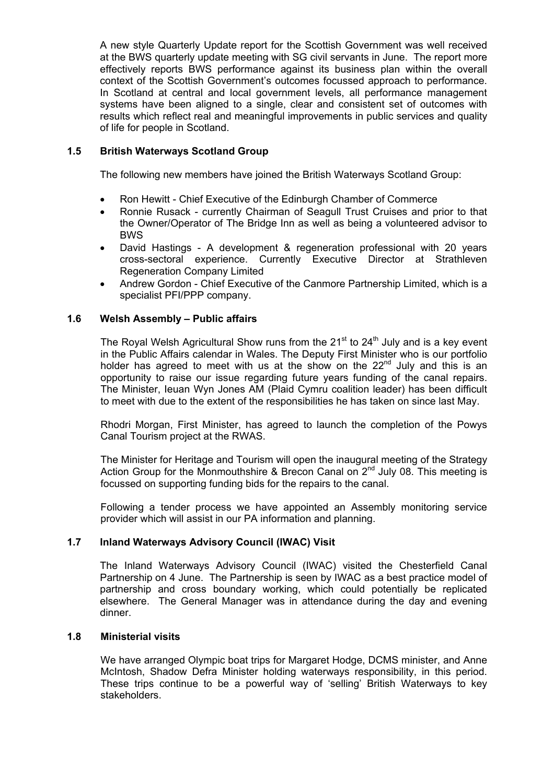A new style Quarterly Update report for the Scottish Government was well received at the BWS quarterly update meeting with SG civil servants in June. The report more effectively reports BWS performance against its business plan within the overall context of the Scottish Government's outcomes focussed approach to performance. In Scotland at central and local government levels, all performance management systems have been aligned to a single, clear and consistent set of outcomes with results which reflect real and meaningful improvements in public services and quality of life for people in Scotland.

## **1.5 British Waterways Scotland Group**

The following new members have joined the British Waterways Scotland Group:

- Ron Hewitt Chief Executive of the Edinburgh Chamber of Commerce
- Ronnie Rusack currently Chairman of Seagull Trust Cruises and prior to that the Owner/Operator of The Bridge Inn as well as being a volunteered advisor to BWS
- David Hastings A development & regeneration professional with 20 years cross-sectoral experience. Currently Executive Director at Strathleven Regeneration Company Limited
- Andrew Gordon Chief Executive of the Canmore Partnership Limited, which is a specialist PFI/PPP company.

## **1.6 Welsh Assembly – Public affairs**

The Royal Welsh Agricultural Show runs from the  $21^{st}$  to  $24^{th}$  July and is a key event in the Public Affairs calendar in Wales. The Deputy First Minister who is our portfolio holder has agreed to meet with us at the show on the  $22^{nd}$  July and this is an opportunity to raise our issue regarding future years funding of the canal repairs. The Minister, Ieuan Wyn Jones AM (Plaid Cymru coalition leader) has been difficult to meet with due to the extent of the responsibilities he has taken on since last May.

Rhodri Morgan, First Minister, has agreed to launch the completion of the Powys Canal Tourism project at the RWAS.

The Minister for Heritage and Tourism will open the inaugural meeting of the Strategy Action Group for the Monmouthshire & Brecon Canal on  $2^{nd}$  July 08. This meeting is focussed on supporting funding bids for the repairs to the canal.

Following a tender process we have appointed an Assembly monitoring service provider which will assist in our PA information and planning.

## **1.7 Inland Waterways Advisory Council (IWAC) Visit**

 The Inland Waterways Advisory Council (IWAC) visited the Chesterfield Canal Partnership on 4 June. The Partnership is seen by IWAC as a best practice model of partnership and cross boundary working, which could potentially be replicated elsewhere. The General Manager was in attendance during the day and evening dinner.

## **1.8 Ministerial visits**

We have arranged Olympic boat trips for Margaret Hodge, DCMS minister, and Anne McIntosh, Shadow Defra Minister holding waterways responsibility, in this period. These trips continue to be a powerful way of 'selling' British Waterways to key stakeholders.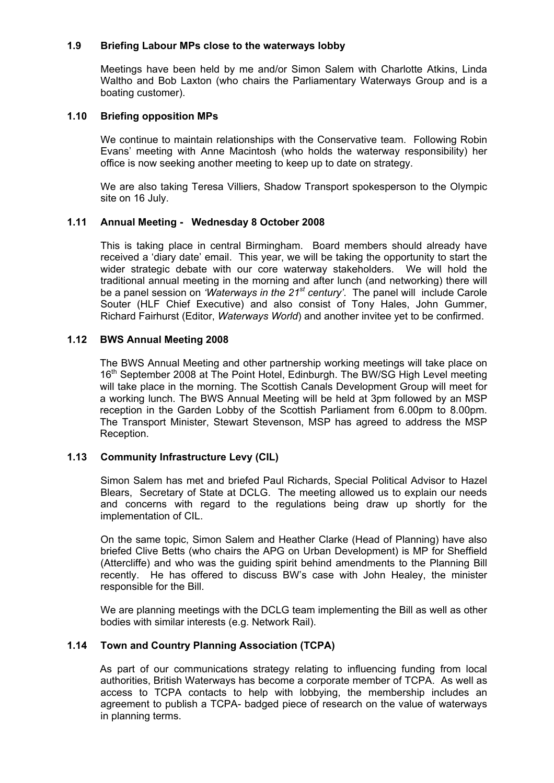## **1.9 Briefing Labour MPs close to the waterways lobby**

Meetings have been held by me and/or Simon Salem with Charlotte Atkins, Linda Waltho and Bob Laxton (who chairs the Parliamentary Waterways Group and is a boating customer).

#### **1.10 Briefing opposition MPs**

We continue to maintain relationships with the Conservative team. Following Robin Evans' meeting with Anne Macintosh (who holds the waterway responsibility) her office is now seeking another meeting to keep up to date on strategy.

We are also taking Teresa Villiers, Shadow Transport spokesperson to the Olympic site on 16 July.

#### **1.11 Annual Meeting - Wednesday 8 October 2008**

This is taking place in central Birmingham. Board members should already have received a 'diary date' email. This year, we will be taking the opportunity to start the wider strategic debate with our core waterway stakeholders. We will hold the traditional annual meeting in the morning and after lunch (and networking) there will be a panel session on *'Waterways in the 21st century'*. The panel will include Carole Souter (HLF Chief Executive) and also consist of Tony Hales, John Gummer, Richard Fairhurst (Editor, *Waterways World*) and another invitee yet to be confirmed.

#### **1.12 BWS Annual Meeting 2008**

The BWS Annual Meeting and other partnership working meetings will take place on 16<sup>th</sup> September 2008 at The Point Hotel, Edinburgh. The BW/SG High Level meeting will take place in the morning. The Scottish Canals Development Group will meet for a working lunch. The BWS Annual Meeting will be held at 3pm followed by an MSP reception in the Garden Lobby of the Scottish Parliament from 6.00pm to 8.00pm. The Transport Minister, Stewart Stevenson, MSP has agreed to address the MSP Reception.

## **1.13 Community Infrastructure Levy (CIL)**

Simon Salem has met and briefed Paul Richards, Special Political Advisor to Hazel Blears, Secretary of State at DCLG. The meeting allowed us to explain our needs and concerns with regard to the regulations being draw up shortly for the implementation of CIL.

On the same topic, Simon Salem and Heather Clarke (Head of Planning) have also briefed Clive Betts (who chairs the APG on Urban Development) is MP for Sheffield (Attercliffe) and who was the guiding spirit behind amendments to the Planning Bill recently. He has offered to discuss BW's case with John Healey, the minister responsible for the Bill.

We are planning meetings with the DCLG team implementing the Bill as well as other bodies with similar interests (e.g. Network Rail).

## **1.14 Town and Country Planning Association (TCPA)**

As part of our communications strategy relating to influencing funding from local authorities, British Waterways has become a corporate member of TCPA. As well as access to TCPA contacts to help with lobbying, the membership includes an agreement to publish a TCPA- badged piece of research on the value of waterways in planning terms.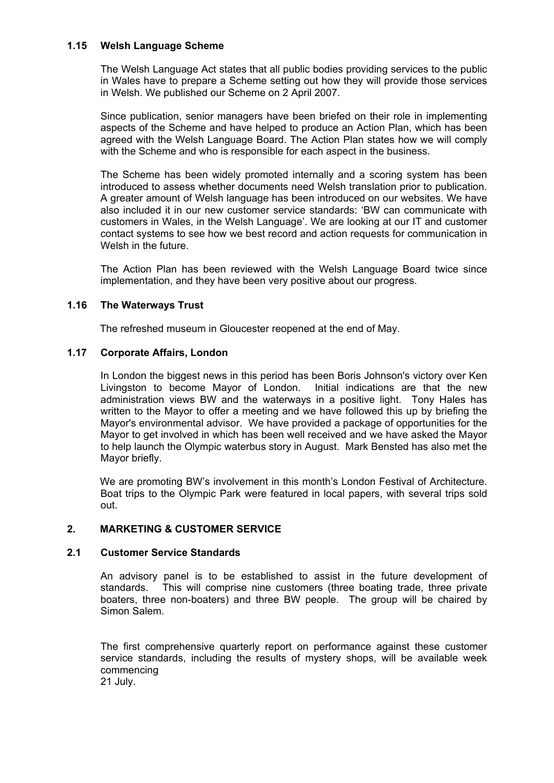## **1.15 Welsh Language Scheme**

The Welsh Language Act states that all public bodies providing services to the public in Wales have to prepare a Scheme setting out how they will provide those services in Welsh. We published our Scheme on 2 April 2007.

Since publication, senior managers have been briefed on their role in implementing aspects of the Scheme and have helped to produce an Action Plan, which has been agreed with the Welsh Language Board. The Action Plan states how we will comply with the Scheme and who is responsible for each aspect in the business.

The Scheme has been widely promoted internally and a scoring system has been introduced to assess whether documents need Welsh translation prior to publication. A greater amount of Welsh language has been introduced on our websites. We have also included it in our new customer service standards: 'BW can communicate with customers in Wales, in the Welsh Language'. We are looking at our IT and customer contact systems to see how we best record and action requests for communication in Welsh in the future.

The Action Plan has been reviewed with the Welsh Language Board twice since implementation, and they have been very positive about our progress.

## **1.16 The Waterways Trust**

The refreshed museum in Gloucester reopened at the end of May.

## **1.17 Corporate Affairs, London**

 In London the biggest news in this period has been Boris Johnson's victory over Ken Livingston to become Mayor of London. Initial indications are that the new administration views BW and the waterways in a positive light. Tony Hales has written to the Mayor to offer a meeting and we have followed this up by briefing the Mayor's environmental advisor. We have provided a package of opportunities for the Mayor to get involved in which has been well received and we have asked the Mayor to help launch the Olympic waterbus story in August. Mark Bensted has also met the Mayor briefly.

We are promoting BW's involvement in this month's London Festival of Architecture. Boat trips to the Olympic Park were featured in local papers, with several trips sold out.

## **2. MARKETING & CUSTOMER SERVICE**

## **2.1 Customer Service Standards**

An advisory panel is to be established to assist in the future development of standards. This will comprise nine customers (three boating trade, three private boaters, three non-boaters) and three BW people. The group will be chaired by Simon Salem.

The first comprehensive quarterly report on performance against these customer service standards, including the results of mystery shops, will be available week commencing 21 July.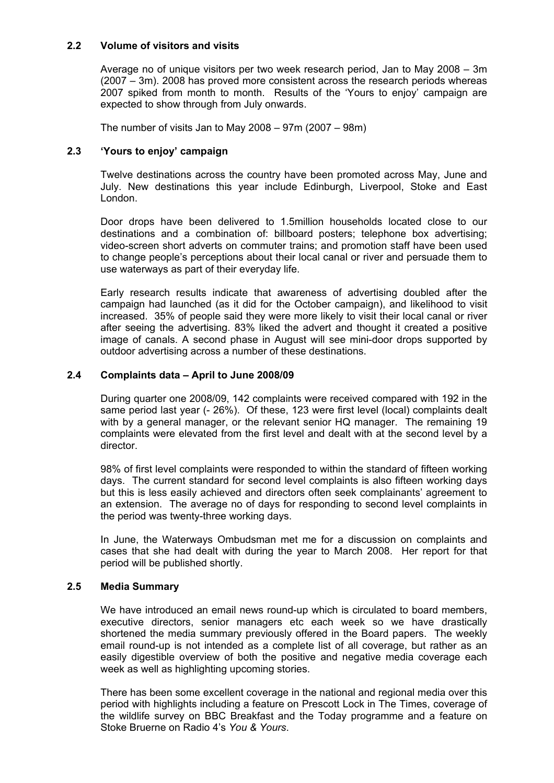## **2.2 Volume of visitors and visits**

Average no of unique visitors per two week research period, Jan to May 2008 – 3m (2007 – 3m). 2008 has proved more consistent across the research periods whereas 2007 spiked from month to month. Results of the 'Yours to enjoy' campaign are expected to show through from July onwards.

The number of visits Jan to May 2008 – 97m (2007 – 98m)

## **2.3 'Yours to enjoy' campaign**

Twelve destinations across the country have been promoted across May, June and July. New destinations this year include Edinburgh, Liverpool, Stoke and East London.

Door drops have been delivered to 1.5million households located close to our destinations and a combination of: billboard posters; telephone box advertising; video-screen short adverts on commuter trains; and promotion staff have been used to change people's perceptions about their local canal or river and persuade them to use waterways as part of their everyday life.

Early research results indicate that awareness of advertising doubled after the campaign had launched (as it did for the October campaign), and likelihood to visit increased. 35% of people said they were more likely to visit their local canal or river after seeing the advertising. 83% liked the advert and thought it created a positive image of canals. A second phase in August will see mini-door drops supported by outdoor advertising across a number of these destinations.

#### **2.4 Complaints data – April to June 2008/09**

During quarter one 2008/09, 142 complaints were received compared with 192 in the same period last year (- 26%). Of these, 123 were first level (local) complaints dealt with by a general manager, or the relevant senior HQ manager. The remaining 19 complaints were elevated from the first level and dealt with at the second level by a director.

98% of first level complaints were responded to within the standard of fifteen working days. The current standard for second level complaints is also fifteen working days but this is less easily achieved and directors often seek complainants' agreement to an extension. The average no of days for responding to second level complaints in the period was twenty-three working days.

In June, the Waterways Ombudsman met me for a discussion on complaints and cases that she had dealt with during the year to March 2008. Her report for that period will be published shortly.

#### **2.5 Media Summary**

We have introduced an email news round-up which is circulated to board members, executive directors, senior managers etc each week so we have drastically shortened the media summary previously offered in the Board papers. The weekly email round-up is not intended as a complete list of all coverage, but rather as an easily digestible overview of both the positive and negative media coverage each week as well as highlighting upcoming stories.

There has been some excellent coverage in the national and regional media over this period with highlights including a feature on Prescott Lock in The Times, coverage of the wildlife survey on BBC Breakfast and the Today programme and a feature on Stoke Bruerne on Radio 4's *You & Yours*.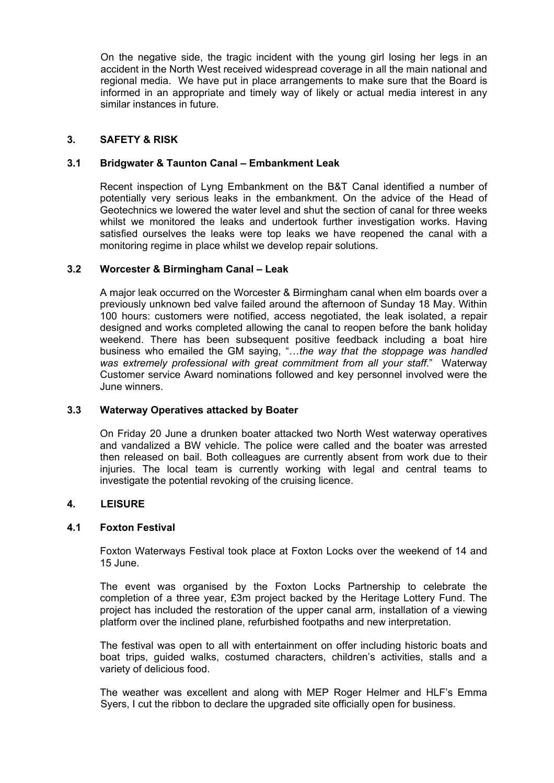On the negative side, the tragic incident with the young girl losing her legs in an accident in the North West received widespread coverage in all the main national and regional media. We have put in place arrangements to make sure that the Board is informed in an appropriate and timely way of likely or actual media interest in any similar instances in future.

## **3. SAFETY & RISK**

#### **3.1 Bridgwater & Taunton Canal – Embankment Leak**

 Recent inspection of Lyng Embankment on the B&T Canal identified a number of potentially very serious leaks in the embankment. On the advice of the Head of Geotechnics we lowered the water level and shut the section of canal for three weeks whilst we monitored the leaks and undertook further investigation works. Having satisfied ourselves the leaks were top leaks we have reopened the canal with a monitoring regime in place whilst we develop repair solutions.

#### **3.2 Worcester & Birmingham Canal – Leak**

 A major leak occurred on the Worcester & Birmingham canal when elm boards over a previously unknown bed valve failed around the afternoon of Sunday 18 May. Within 100 hours: customers were notified, access negotiated, the leak isolated, a repair designed and works completed allowing the canal to reopen before the bank holiday weekend. There has been subsequent positive feedback including a boat hire business who emailed the GM saying, "…*the way that the stoppage was handled was extremely professional with great commitment from all your staff*." Waterway Customer service Award nominations followed and key personnel involved were the June winners.

#### **3.3 Waterway Operatives attacked by Boater**

On Friday 20 June a drunken boater attacked two North West waterway operatives and vandalized a BW vehicle. The police were called and the boater was arrested then released on bail. Both colleagues are currently absent from work due to their injuries. The local team is currently working with legal and central teams to investigate the potential revoking of the cruising licence.

#### **4. LEISURE**

#### **4.1 Foxton Festival**

Foxton Waterways Festival took place at Foxton Locks over the weekend of 14 and 15 June.

The event was organised by the Foxton Locks Partnership to celebrate the completion of a three year, £3m project backed by the Heritage Lottery Fund. The project has included the restoration of the upper canal arm, installation of a viewing platform over the inclined plane, refurbished footpaths and new interpretation.

The festival was open to all with entertainment on offer including historic boats and boat trips, guided walks, costumed characters, children's activities, stalls and a variety of delicious food.

The weather was excellent and along with MEP Roger Helmer and HLF's Emma Syers, I cut the ribbon to declare the upgraded site officially open for business.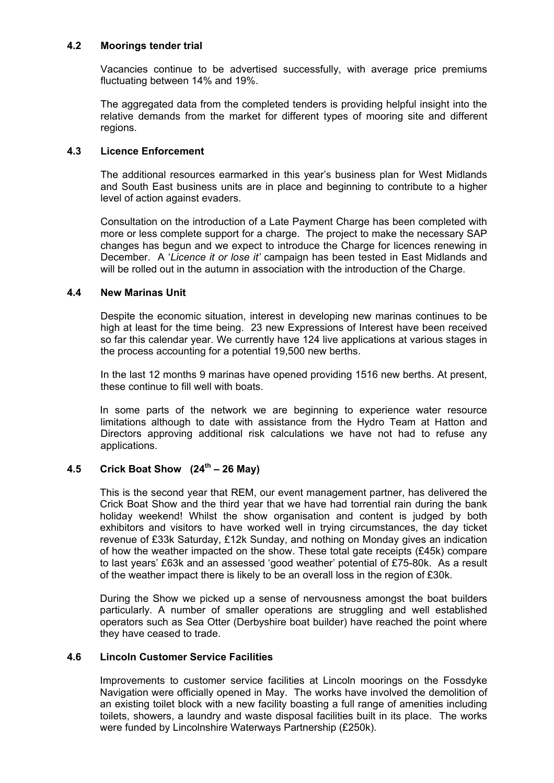## **4.2 Moorings tender trial**

Vacancies continue to be advertised successfully, with average price premiums fluctuating between 14% and 19%.

The aggregated data from the completed tenders is providing helpful insight into the relative demands from the market for different types of mooring site and different regions.

## **4.3 Licence Enforcement**

The additional resources earmarked in this year's business plan for West Midlands and South East business units are in place and beginning to contribute to a higher level of action against evaders.

Consultation on the introduction of a Late Payment Charge has been completed with more or less complete support for a charge. The project to make the necessary SAP changes has begun and we expect to introduce the Charge for licences renewing in December. A '*Licence it or lose it'* campaign has been tested in East Midlands and will be rolled out in the autumn in association with the introduction of the Charge.

#### **4.4 New Marinas Unit**

Despite the economic situation, interest in developing new marinas continues to be high at least for the time being. 23 new Expressions of Interest have been received so far this calendar year. We currently have 124 live applications at various stages in the process accounting for a potential 19,500 new berths.

In the last 12 months 9 marinas have opened providing 1516 new berths. At present, these continue to fill well with boats.

In some parts of the network we are beginning to experience water resource limitations although to date with assistance from the Hydro Team at Hatton and Directors approving additional risk calculations we have not had to refuse any applications.

## **4.5 Crick Boat Show (24th – 26 May)**

This is the second year that REM, our event management partner, has delivered the Crick Boat Show and the third year that we have had torrential rain during the bank holiday weekend! Whilst the show organisation and content is judged by both exhibitors and visitors to have worked well in trying circumstances, the day ticket revenue of £33k Saturday, £12k Sunday, and nothing on Monday gives an indication of how the weather impacted on the show. These total gate receipts (£45k) compare to last years' £63k and an assessed 'good weather' potential of £75-80k. As a result of the weather impact there is likely to be an overall loss in the region of £30k.

During the Show we picked up a sense of nervousness amongst the boat builders particularly. A number of smaller operations are struggling and well established operators such as Sea Otter (Derbyshire boat builder) have reached the point where they have ceased to trade.

#### **4.6 Lincoln Customer Service Facilities**

Improvements to customer service facilities at Lincoln moorings on the Fossdyke Navigation were officially opened in May. The works have involved the demolition of an existing toilet block with a new facility boasting a full range of amenities including toilets, showers, a laundry and waste disposal facilities built in its place. The works were funded by Lincolnshire Waterways Partnership (£250k).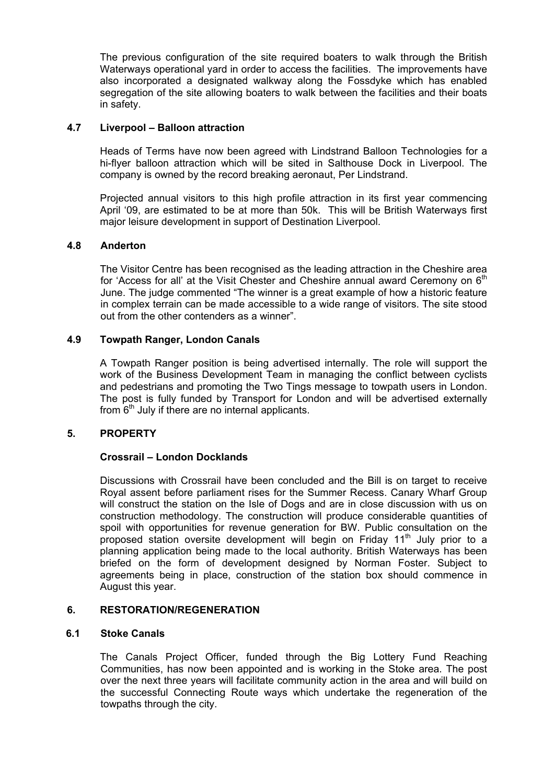The previous configuration of the site required boaters to walk through the British Waterways operational yard in order to access the facilities. The improvements have also incorporated a designated walkway along the Fossdyke which has enabled segregation of the site allowing boaters to walk between the facilities and their boats in safety.

## **4.7 Liverpool – Balloon attraction**

Heads of Terms have now been agreed with Lindstrand Balloon Technologies for a hi-flyer balloon attraction which will be sited in Salthouse Dock in Liverpool. The company is owned by the record breaking aeronaut, Per Lindstrand.

Projected annual visitors to this high profile attraction in its first year commencing April '09, are estimated to be at more than 50k. This will be British Waterways first major leisure development in support of Destination Liverpool.

#### **4.8 Anderton**

The Visitor Centre has been recognised as the leading attraction in the Cheshire area for 'Access for all' at the Visit Chester and Cheshire annual award Ceremony on  $6<sup>th</sup>$ June. The judge commented "The winner is a great example of how a historic feature in complex terrain can be made accessible to a wide range of visitors. The site stood out from the other contenders as a winner".

#### **4.9 Towpath Ranger, London Canals**

 A Towpath Ranger position is being advertised internally. The role will support the work of the Business Development Team in managing the conflict between cyclists and pedestrians and promoting the Two Tings message to towpath users in London. The post is fully funded by Transport for London and will be advertised externally from  $6<sup>th</sup>$  July if there are no internal applicants.

## **5. PROPERTY**

#### **Crossrail – London Docklands**

 Discussions with Crossrail have been concluded and the Bill is on target to receive Royal assent before parliament rises for the Summer Recess. Canary Wharf Group will construct the station on the Isle of Dogs and are in close discussion with us on construction methodology. The construction will produce considerable quantities of spoil with opportunities for revenue generation for BW. Public consultation on the proposed station oversite development will begin on Friday 11<sup>th</sup> July prior to a planning application being made to the local authority. British Waterways has been briefed on the form of development designed by Norman Foster. Subject to agreements being in place, construction of the station box should commence in August this year.

## **6. RESTORATION/REGENERATION**

#### **6.1 Stoke Canals**

The Canals Project Officer, funded through the Big Lottery Fund Reaching Communities, has now been appointed and is working in the Stoke area. The post over the next three years will facilitate community action in the area and will build on the successful Connecting Route ways which undertake the regeneration of the towpaths through the city.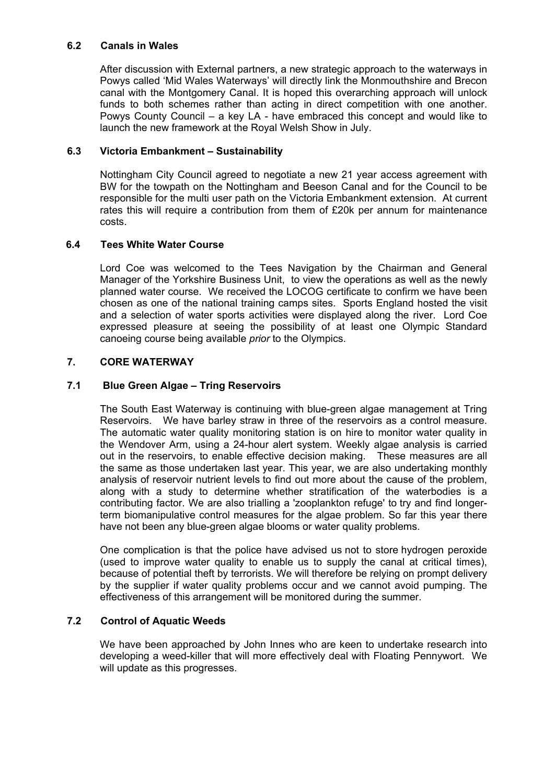## **6.2 Canals in Wales**

After discussion with External partners, a new strategic approach to the waterways in Powys called 'Mid Wales Waterways' will directly link the Monmouthshire and Brecon canal with the Montgomery Canal. It is hoped this overarching approach will unlock funds to both schemes rather than acting in direct competition with one another. Powys County Council – a key LA - have embraced this concept and would like to launch the new framework at the Royal Welsh Show in July.

## **6.3 Victoria Embankment – Sustainability**

Nottingham City Council agreed to negotiate a new 21 year access agreement with BW for the towpath on the Nottingham and Beeson Canal and for the Council to be responsible for the multi user path on the Victoria Embankment extension. At current rates this will require a contribution from them of £20k per annum for maintenance costs.

## **6.4 Tees White Water Course**

Lord Coe was welcomed to the Tees Navigation by the Chairman and General Manager of the Yorkshire Business Unit, to view the operations as well as the newly planned water course. We received the LOCOG certificate to confirm we have been chosen as one of the national training camps sites. Sports England hosted the visit and a selection of water sports activities were displayed along the river. Lord Coe expressed pleasure at seeing the possibility of at least one Olympic Standard canoeing course being available *prior* to the Olympics.

## **7. CORE WATERWAY**

## **7.1 Blue Green Algae – Tring Reservoirs**

The South East Waterway is continuing with blue-green algae management at Tring Reservoirs. We have barley straw in three of the reservoirs as a control measure. The automatic water quality monitoring station is on hire to monitor water quality in the Wendover Arm, using a 24-hour alert system. Weekly algae analysis is carried out in the reservoirs, to enable effective decision making. These measures are all the same as those undertaken last year. This year, we are also undertaking monthly analysis of reservoir nutrient levels to find out more about the cause of the problem, along with a study to determine whether stratification of the waterbodies is a contributing factor. We are also trialling a 'zooplankton refuge' to try and find longerterm biomanipulative control measures for the algae problem. So far this year there have not been any blue-green algae blooms or water quality problems.

One complication is that the police have advised us not to store hydrogen peroxide (used to improve water quality to enable us to supply the canal at critical times), because of potential theft by terrorists. We will therefore be relying on prompt delivery by the supplier if water quality problems occur and we cannot avoid pumping. The effectiveness of this arrangement will be monitored during the summer.

## **7.2 Control of Aquatic Weeds**

We have been approached by John Innes who are keen to undertake research into developing a weed-killer that will more effectively deal with Floating Pennywort. We will update as this progresses.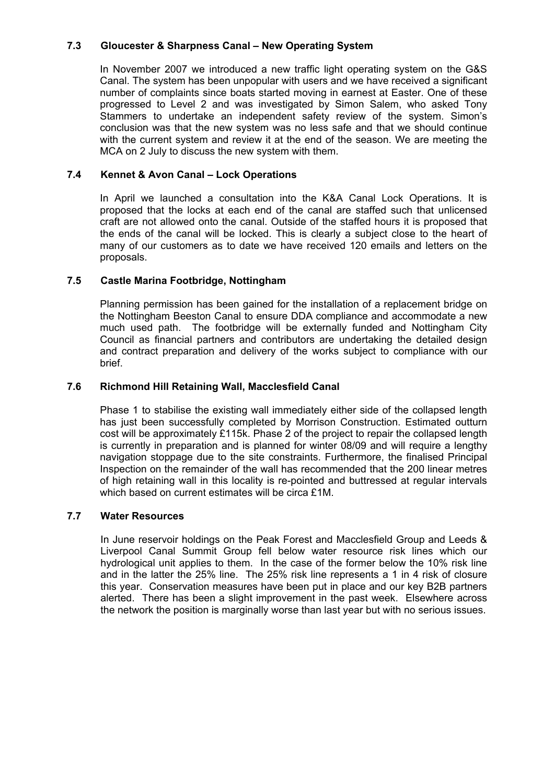## **7.3 Gloucester & Sharpness Canal – New Operating System**

In November 2007 we introduced a new traffic light operating system on the G&S Canal. The system has been unpopular with users and we have received a significant number of complaints since boats started moving in earnest at Easter. One of these progressed to Level 2 and was investigated by Simon Salem, who asked Tony Stammers to undertake an independent safety review of the system. Simon's conclusion was that the new system was no less safe and that we should continue with the current system and review it at the end of the season. We are meeting the MCA on 2 July to discuss the new system with them.

## **7.4 Kennet & Avon Canal – Lock Operations**

In April we launched a consultation into the K&A Canal Lock Operations. It is proposed that the locks at each end of the canal are staffed such that unlicensed craft are not allowed onto the canal. Outside of the staffed hours it is proposed that the ends of the canal will be locked. This is clearly a subject close to the heart of many of our customers as to date we have received 120 emails and letters on the proposals.

## **7.5 Castle Marina Footbridge, Nottingham**

Planning permission has been gained for the installation of a replacement bridge on the Nottingham Beeston Canal to ensure DDA compliance and accommodate a new much used path. The footbridge will be externally funded and Nottingham City Council as financial partners and contributors are undertaking the detailed design and contract preparation and delivery of the works subject to compliance with our brief.

## **7.6 Richmond Hill Retaining Wall, Macclesfield Canal**

Phase 1 to stabilise the existing wall immediately either side of the collapsed length has just been successfully completed by Morrison Construction. Estimated outturn cost will be approximately £115k. Phase 2 of the project to repair the collapsed length is currently in preparation and is planned for winter 08/09 and will require a lengthy navigation stoppage due to the site constraints. Furthermore, the finalised Principal Inspection on the remainder of the wall has recommended that the 200 linear metres of high retaining wall in this locality is re-pointed and buttressed at regular intervals which based on current estimates will be circa £1M.

## **7.7 Water Resources**

In June reservoir holdings on the Peak Forest and Macclesfield Group and Leeds & Liverpool Canal Summit Group fell below water resource risk lines which our hydrological unit applies to them. In the case of the former below the 10% risk line and in the latter the 25% line. The 25% risk line represents a 1 in 4 risk of closure this year. Conservation measures have been put in place and our key B2B partners alerted. There has been a slight improvement in the past week. Elsewhere across the network the position is marginally worse than last year but with no serious issues.